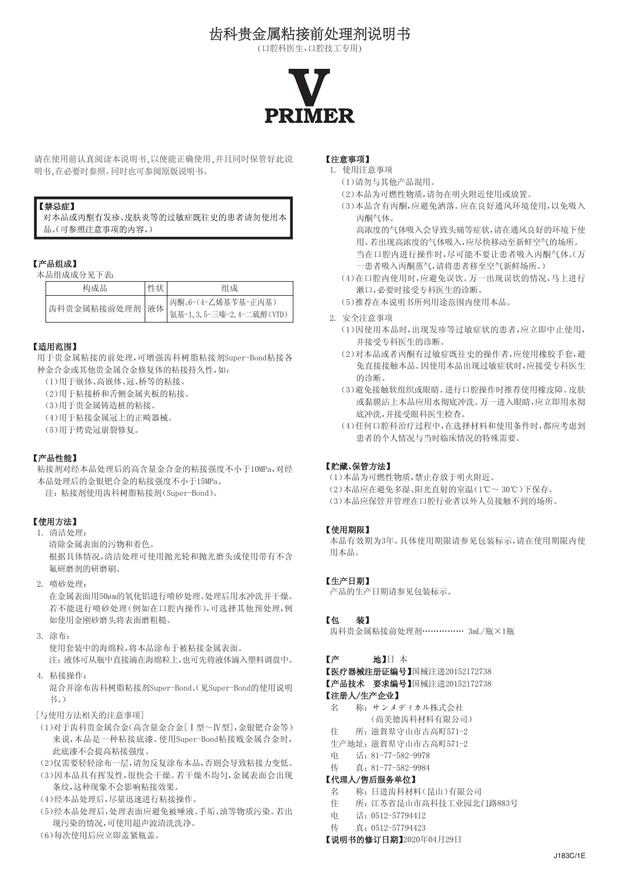# 齿科贵金属粘接前处理剂说明书

(口腔科医生、口腔技工专用)



请在使用前认真阅读本说明书,以便能正确使用,并且同时保管好此说 明书,在必要时参照。同时也可参阅原版说明书。

#### 【禁忌症】

对本品或丙酮有发疹、皮肤炎等的过敏症既往史的患者请勿使用本 品。(可参照注意事项的内容。)

#### 【产品组成】

本品组成成分见下表:

| 构成品 | 性状 | 组成                                                |
|-----|----|---------------------------------------------------|
|     |    | <br> 齿科贵金属粘接前处理剂   液体    気基-1,3,5-三嗪-2,4-二硫醇(VTD) |

#### 【适用范围】

用于贵金属粘接的前处理,可增强齿科树脂粘接剂Super-Bond粘接各 种金合金或其他贵金属合金修复体的粘接持久性,如:

(1)用于嵌体、高嵌体、冠、桥等的粘接。

(2)用于粘接桥和舌侧金属夹板的粘接。

(3)用于贵金属铸造桩的粘接。

(4)用于粘接金属冠上的正畸器械。

(5)用于烤瓷冠崩裂修复。

#### 【产品性能】

粘接剂对经本品处理后的高含量金合金的粘接强度不小于10MPa,对经 本品处理后的金银钯合金的粘接强度不小于15MPa。

注:粘接剂使用齿科树脂粘接剂(Super-Bond)。

## 【使用方法】

1. 清洁处理:

清除金属表面的污物和着色。 根据具体情况,清洁处理可使用抛光轮和抛光磨头或使用带有不含 氟研磨剂的研磨刷。

2. 喷砂处理:

在金属表面用50μm的氧化铝进行喷砂处理。处理后用水冲洗并干燥。 若不能进行喷砂处理(例如在口腔内操作),可选择其他预处理,例 如使用金刚砂磨头将表面磨粗糙。

3. 涂布:

使用套装中的海绵粒,将本品涂布于被粘接金属表面。 注:液体可从瓶中直接滴在海绵粒上,也可先将液体滴入塑料调盘中。

4. 粘接操作:

混合并涂布齿科树脂粘接剂Super-Bond。(见Super-Bond的使用说明 书。)

[与使用方法相关的注意事项]

(1)对于齿科贵金属合金(高含量金合金[Ⅰ型~Ⅳ型],金银钯合金等) 来说,本品是一种粘接底漆。使用Super-Bond粘接贱金属合金时, 此底漆不会提高粘接强度。

(2)仅需要轻轻涂布一层,请勿反复涂布本品,否则会导致粘接力变低。

- (3)因本品具有挥发性,很快会干燥。若干燥不均匀,金属表面会出现 条纹,这种现象不会影响粘接效果。
- (4)经本品处理后,尽量迅速进行粘接操作。
- (5)经本品处理后,处理表面应避免被唾液、手垢、油等物质污染。若出 现污染的情况,可使用超声波清洗洗净。
- (6)每次使用后应立即盖紧瓶盖。

#### 【注意事项】

- 1. 使用注意事项
	- (1)请勿与其他产品混用。
	- (2)本品为可燃性物质,请勿在明火附近使用或放置。
	- (3)本品含有丙酮,应避免洒落。应在良好通风环境使用,以免吸入 丙酮气体。

高浓度的气体吸入会导致头痛等症状,请在通风良好的环境下使 用。若出现高浓度的气体吸入,应尽快移动至新鲜空气的场所。

- 当在口腔内进行操作时,尽可能不要让患者吸入丙酮气体。(万 一患者吸入丙酮蒸气,请将患者移至空气新鲜场所。)
- (4)在口腔内使用时,应避免误饮。万一出现误饮的情况,马上进行 漱口,必要时接受专科医生的诊断。
- (5)推荐在本说明书所列用途范围内使用本品。
- 2. 安全注意事项
	- (1)因使用本品时,出现发疹等过敏症状的患者,应立即中止使用, 并接受专科医生的诊断。
	- (2)对本品或者丙酮有过敏症既往史的操作者,应使用橡胶手套,避 免直接接触本品。因使用本品出现过敏症状时,应接受专科医生 的诊断。
	- (3)避免接触软组织或眼睛。进行口腔操作时推荐使用橡皮障。皮肤 或黏膜沾上本品应用水彻底冲洗。万一进入眼睛,应立即用水彻 底冲洗,并接受眼科医生检查。
	- (4)任何口腔科治疗过程中,在选择材料和使用条件时,都应考虑到 患者的个人情况与当时临床情况的特殊需要。

#### 【贮藏、保管方法】

(1)本品为可燃性物质,禁止存放于明火附近。 (2)本品应在避免多湿、阳光直射的室温(1℃~ 30℃)下保存。 (3)本品应保管并管理在口腔行业者以外人员接触不到的场所。

#### 【使用期限】

本品有效期为3年。具体使用期限请参见包装标示,请在使用期限内使 用本品。

#### 【生产日期】

产品的生产日期请参见包装标示。

#### 【包 装】

齿科贵金属粘接前处理剂…………… 3mL/瓶×1瓶

#### 【产 地】日 本

【医疗器械注册证编号】国械注进20152172738

【产品技术 要求编号】国械注讲20152172738

- 【注册人/生产企业】
- 名 称:サンメディカル株式会社
- (尚美德齿科材料有限公司)
- 住 所:滋賀県守山市古高町571-2
- 生产地址:滋賀県守山市古高町571-2
- 电 话:81-77-582-9978 传 真:81-77-582-9984

#### 【代理人/售后服务单位】

- 名 称:日进齿科材料(昆山)有限公司
- 住 所:江苏省昆山市高科技工业园北门路883号
- 电 话:0512-57794412
- 传 真:0512-57794423

#### 【说明书的修订日期】2020年04月29日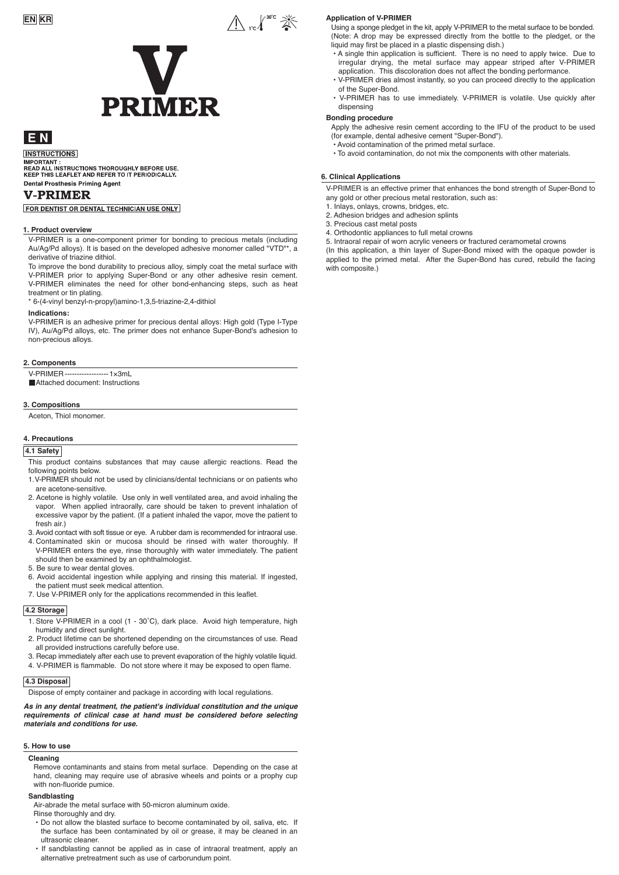# A red<sup>30°</sup> 茶 V **PRIMER**

# E<sub>N</sub>

**INSTRUCTIONS** MORTANT :<br>IMPORTANT :<br>READ ALL INSTRUCTIONS THOROUGHLY BEFORE USE.<br>KEEP THIS LEAFLET AND REFER TO IT PERIODICALLY. **Dental Prosthesis Priming Agent** 

#### **V-PRIMER**

FOR DENTIST OR DENTAL TECHNICIAN USE ONLY

#### **1. Product overview**

V-PRIMER is a one-component primer for bonding to precious metals (including Au/Ag/Pd alloys). It is based on the developed adhesive monomer called "VTD"\*, a derivative of triazine dithiol.

To improve the bond durability to precious alloy, simply coat the metal surface with V-PRIMER prior to applying Super-Bond or any other adhesive resin cement. V-PRIMER eliminates the need for other bond-enhancing steps, such as heat treatment or tin plating.

\* 6-(4-vinyl benzyl-n-propyl)amino-1,3,5-triazine-2,4-dithiol

#### **Indications:**

V-PRIMER is an adhesive primer for precious dental alloys: High gold (Type I-Type IV), Au/Ag/Pd alloys, etc. The primer does not enhance Super-Bond's adhesion to non-precious alloys.

#### **2. Components**

V-PRIMER ------------------1×3mL

Attached document: Instructions

#### **3. Compositions**

Aceton, Thiol monomer.

# **4. Precautions**

# **4.1 Safety**

- This product contains substances that may cause allergic reactions. Read the following points below.
- 1.V-PRIMER should not be used by clinicians/dental technicians or on patients who are acetone-sensitive.
- 2. Acetone is highly volatile. Use only in well ventilated area, and avoid inhaling the vapor. When applied intraorally, care should be taken to prevent inhalation of excessive vapor by the patient. (If a patient inhaled the vapor, move the patient to fresh air.)
- 3. Avoid contact with soft tissue or eye. A rubber dam is recommended for intraoral use.
- 4. Contaminated skin or mucosa should be rinsed with water thoroughly. If V-PRIMER enters the eye, rinse thoroughly with water immediately. The patient should then be examined by an ophthalmologist.
- 5. Be sure to wear dental gloves.
- 6. Avoid accidental ingestion while applying and rinsing this material. If ingested, the patient must seek medical attention.
- 7. Use V-PRIMER only for the applications recommended in this leaflet.

#### **4.2 Storage**

- 1. Store V-PRIMER in a cool (1 30˚C), dark place. Avoid high temperature, high humidity and direct sunlight.
- 2. Product lifetime can be shortened depending on the circumstances of use. Read all provided instructions carefully before use.
- 3. Recap immediately after each use to prevent evaporation of the highly volatile liquid.
- 4. V-PRIMER is flammable. Do not store where it may be exposed to open flame.

#### **4.3 Disposal**

Dispose of empty container and package in according with local regulations.

*As in any dental treatment, the patient's individual constitution and the unique requirements of clinical case at hand must be considered before selecting materials and conditions for use.*

#### **5. How to use**

**Cleaning**

Remove contaminants and stains from metal surface. Depending on the case at hand, cleaning may require use of abrasive wheels and points or a prophy cup with non-fluoride pumice.

#### **Sandblasting**

Air-abrade the metal surface with 50-micron aluminum oxide.

# Rinse thoroughly and dry.

- Do not allow the blasted surface to become contaminated by oil, saliva, etc. If the surface has been contaminated by oil or grease, it may be cleaned in an ultrasonic cleaner.
- If sandblasting cannot be applied as in case of intraoral treatment, apply an alternative pretreatment such as use of carborundum point.

#### **Application of V-PRIMER**

Using a sponge pledget in the kit, apply V-PRIMER to the metal surface to be bonded. (Note: A drop may be expressed directly from the bottle to the pledget, or the liquid may first be placed in a plastic dispensing dish.)

- A single thin application is sufficient. There is no need to apply twice. Due to irregular drying, the metal surface may appear striped after V-PRIMER application. This discoloration does not affect the bonding performance.
- V-PRIMER dries almost instantly, so you can proceed directly to the application of the Super-Bond.
- V-PRIMER has to use immediately. V-PRIMER is volatile. Use quickly after dispensing

#### **Bonding procedure**

Apply the adhesive resin cement according to the IFU of the product to be used (for example, dental adhesive cement "Super-Bond").

• Avoid contamination of the primed metal surface.

• To avoid contamination, do not mix the components with other materials.

#### **6. Clinical Applications**

V-PRIMER is an effective primer that enhances the bond strength of Super-Bond to any gold or other precious metal restoration, such as:

- 1. Inlays, onlays, crowns, bridges, etc.
- 2. Adhesion bridges and adhesion splints
- 3. Precious cast metal posts
- 4. Orthodontic appliances to full metal crowns

5. Intraoral repair of worn acrylic veneers or fractured ceramometal crowns

(In this application, a thin layer of Super-Bond mixed with the opaque powder is applied to the primed metal. After the Super-Bond has cured, rebuild the facing with composite.)